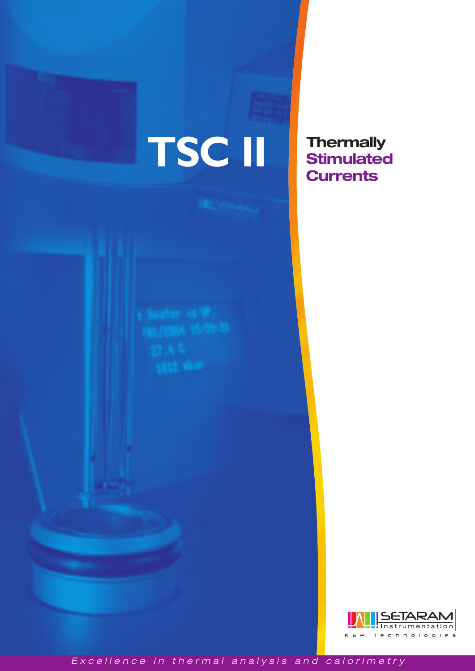# **TSC II**

**Thermally Stimulated Currents**



*Excellence in thermal analysis and calorimetry*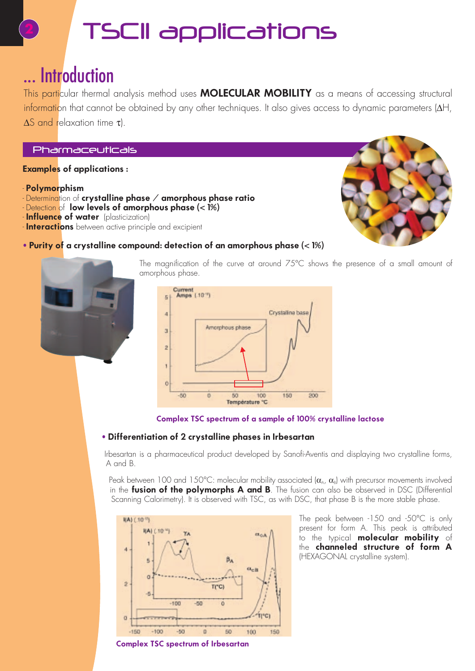### TSC1I applications

### ... Introduction

This particular thermal analysis method uses **MOLECULAR MOBILITY** as a means of accessing structural information that cannot be obtained by any other techniques. It also gives access to dynamic parameters (∆H, ∆S and relaxation time τ).

#### Pharmaceuticals

#### **Examples of applications :**

- **Polymorphism**
- Determination of **crystalline phase / amorphous phase ratio**
- Detection of **low levels of amorphous phase (< 1%)**
- **Influence of water** (plasticization)
- **Interactions** between active principle and excipient







The magnification of the curve at around 75°C shows the presence of a small amount of amorphous phase.





#### • **Differentiation of 2 crystalline phases in Irbesartan**

Irbesartan is a pharmaceutical product developed by Sanofi-Aventis and displaying two crystalline forms, A and B.

Peak between 100 and 150°C: molecular mobility associated  $(\alpha_A, \alpha_B)$  with precursor movements involved in the **fusion of the polymorphs A and B**. The fusion can also be observed in DSC (Differential Scanning Calorimetry). It is observed with TSC, as with DSC, that phase B is the more stable phase.



**Complex TSC spectrum of Irbesartan**

The peak between -150 and -50°C is only present for form A. This peak is attributed to the typical **molecular mobility** of the **channeled structure of form A** (HEXAGONAL crystalline system).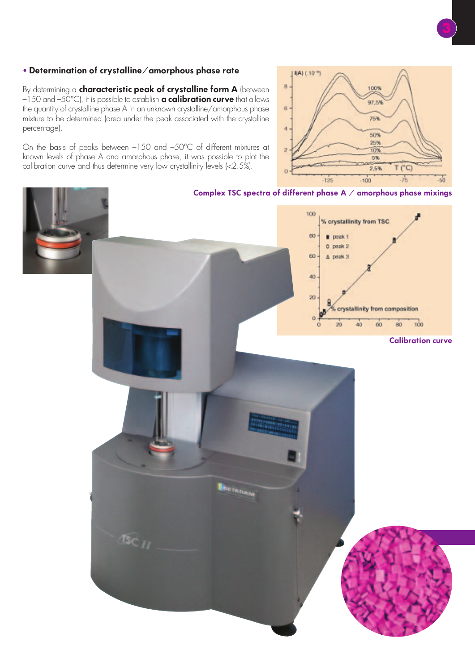#### • **Determination of crystalline/amorphous phase rate**

By determining a **characteristic peak of crystalline form A** (between –150 and –50°C), it is possible to establish **a calibration curve** that allows the quantity of crystalline phase A in an unknown crystalline/amorphous phase mixture to be determined (area under the peak associated with the crystalline percentage).

On the basis of peaks between –150 and –50°C of different mixtures at known levels of phase A and amorphous phase, it was possible to plot the calibration curve and thus determine very low crystallinity levels (<2.5%).



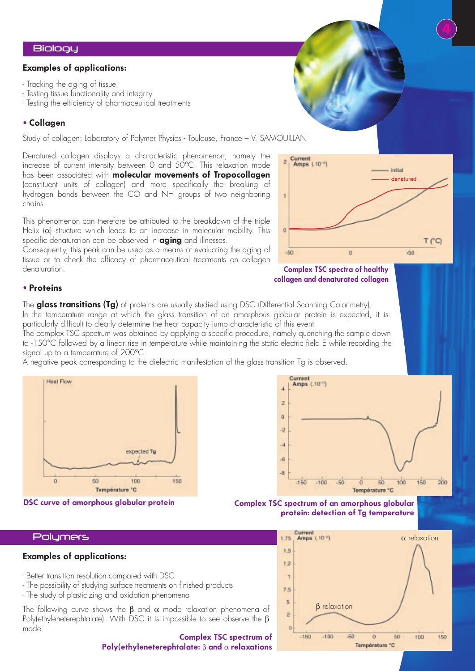#### **Biology**

#### **Examples of applications:**

- Tracking the aging of tissue
- Testing tissue functionality and integrity
- Testing the efficiency of pharmaceutical treatments

#### • **Collagen**

Study of collagen: Laboratory of Polymer Physics - Toulouse, France – V. SAMOUILLAN

Denatured collagen displays a characteristic phenomenon, namely the increase of current intensity between 0 and 50°C. This relaxation mode has been associated with **molecular movements of Tropocollagen** (constituent units of collagen) and more specifically the breaking of hydrogen bonds between the CO and NH groups of two neighboring chains.

This phenomenon can therefore be attributed to the breakdown of the triple Helix  $(\alpha)$  structure which leads to an increase in molecular mobility. This specific denaturation can be observed in **aging** and illnesses.

Consequently, this peak can be used as a means of evaluating the aging of tissue or to check the efficacy of pharmaceutical treatments on collagen denaturation.

#### • **Proteins**

The **glass transitions (Tg)** of proteins are usually studied using DSC (Differential Scanning Calorimetry). In the temperature range at which the glass transition of an amorphous globular protein is expected, it is particularly difficult to clearly determine the heat capacity jump characteristic of this event.

The complex TSC spectrum was obtained by applying a specific procedure, namely quenching the sample down to -150°C followed by a linear rise in temperature while maintaining the static electric field E while recording the signal up to a temperature of 200°C.

A negative peak corresponding to the dielectric manifestation of the glass transition Tg is observed.





#### **Polymers**

#### **Examples of applications:**

- Better transition resolution compared with DSC
- The possibility of studying surface treatments on finished products
- The study of plasticizing and oxidation phenomena

The following curve shows the  $\beta$  and  $\alpha$  mode relaxation phenomena of Poly(ethyleneterephtalate). With DSC it is impossible to see observe the β mode.

#### **Complex TSC spectrum of Poly(ethyleneterephtalate:** β **and** α **relaxations**



Current<br>| Amps (.10<sup>-0</sup>) - Initial denatured T (°C)  $-50$  $\theta$  $+50$ 

#### **Complex TSC spectra of healthy collagen and denaturated collagen**



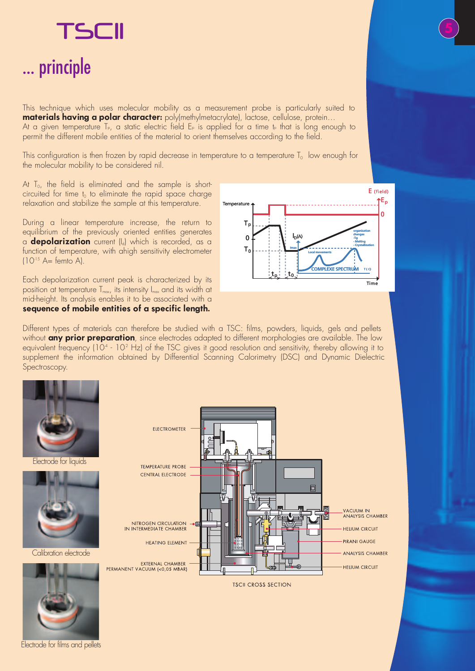## TSCII ... principle

This technique which uses molecular mobility as a measurement probe is particularly suited to **materials having a polar character:** poly(methylmetacrylate), lactose, cellulose, protein… At a given temperature  $T_{P}$ , a static electric field  $E_{P}$  is applied for a time tp that is long enough to permit the different mobile entities of the material to orient themselves according to the field.

This configuration is then frozen by rapid decrease in temperature to a temperature  $T_0$  low enough for the molecular mobility to be considered nil.

At  $T<sub>0</sub>$ , the field is eliminated and the sample is shortcircuited for time  $t_0$  to eliminate the rapid space charge relaxation and stabilize the sample at this temperature.

During a linear temperature increase, the return to equilibrium of the previously oriented entities generates a **depolarization** current (Id) which is recorded, as a function of temperature, with ahigh sensitivity electrometer  $(10^{-15}$  A= femto A).

Each depolarization current peak is characterized by its position at temperature  $T_{max}$ , its intensity  $I_{max}$  and its width at mid-height. Its analysis enables it to be associated with a **sequence of mobile entities of a specific length.**



Different types of materials can therefore be studied with a TSC: films, powders, liquids, gels and pellets without **any prior preparation**, since electrodes adapted to different morphologies are available. The low equivalent frequency (10.4 - 10.2 Hz) of the TSC gives it good resolution and sensitivity, thereby allowing it to supplement the information obtained by Differential Scanning Calorimetry (DSC) and Dynamic Dielectric Spectroscopy.



Electrode for liquids



Calibration electrode



Electrode for films and pellets